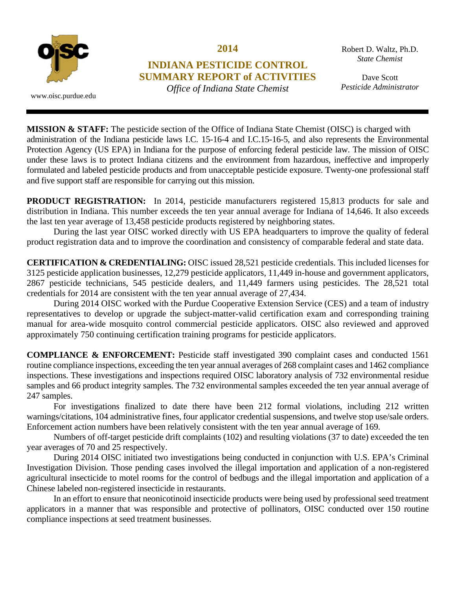

**2014** 

## **INDIANA PESTICIDE CONTROL SUMMARY REPORT of ACTIVITIES**

*Office of Indiana State Chemist*

Robert D. Waltz, Ph.D. *State Chemist* 

Dave Scott *Pesticide Administrator*

www.oisc.purdue.edu

**MISSION & STAFF:** The pesticide section of the Office of Indiana State Chemist (OISC) is charged with administration of the Indiana pesticide laws I.C. 15-16-4 and I.C.15-16-5, and also represents the Environmental Protection Agency (US EPA) in Indiana for the purpose of enforcing federal pesticide law. The mission of OISC under these laws is to protect Indiana citizens and the environment from hazardous, ineffective and improperly formulated and labeled pesticide products and from unacceptable pesticide exposure. Twenty-one professional staff and five support staff are responsible for carrying out this mission.

**PRODUCT REGISTRATION:** In 2014, pesticide manufacturers registered 15,813 products for sale and distribution in Indiana. This number exceeds the ten year annual average for Indiana of 14,646. It also exceeds the last ten year average of 13,458 pesticide products registered by neighboring states.

 During the last year OISC worked directly with US EPA headquarters to improve the quality of federal product registration data and to improve the coordination and consistency of comparable federal and state data.

**CERTIFICATION & CREDENTIALING:** OISC issued 28,521 pesticide credentials. This included licenses for 3125 pesticide application businesses, 12,279 pesticide applicators, 11,449 in-house and government applicators, 2867 pesticide technicians, 545 pesticide dealers, and 11,449 farmers using pesticides. The 28,521 total credentials for 2014 are consistent with the ten year annual average of 27,434.

 During 2014 OISC worked with the Purdue Cooperative Extension Service (CES) and a team of industry representatives to develop or upgrade the subject-matter-valid certification exam and corresponding training manual for area-wide mosquito control commercial pesticide applicators. OISC also reviewed and approved approximately 750 continuing certification training programs for pesticide applicators.

**COMPLIANCE & ENFORCEMENT:** Pesticide staff investigated 390 complaint cases and conducted 1561 routine compliance inspections, exceeding the ten year annual averages of 268 complaint cases and 1462 compliance inspections. These investigations and inspections required OISC laboratory analysis of 732 environmental residue samples and 66 product integrity samples. The 732 environmental samples exceeded the ten year annual average of 247 samples.

 For investigations finalized to date there have been 212 formal violations, including 212 written warnings/citations, 104 administrative fines, four applicator credential suspensions, and twelve stop use/sale orders. Enforcement action numbers have been relatively consistent with the ten year annual average of 169.

 Numbers of off-target pesticide drift complaints (102) and resulting violations (37 to date) exceeded the ten year averages of 70 and 25 respectively.

 During 2014 OISC initiated two investigations being conducted in conjunction with U.S. EPA's Criminal Investigation Division. Those pending cases involved the illegal importation and application of a non-registered agricultural insecticide to motel rooms for the control of bedbugs and the illegal importation and application of a Chinese labeled non-registered insecticide in restaurants.

 In an effort to ensure that neonicotinoid insecticide products were being used by professional seed treatment applicators in a manner that was responsible and protective of pollinators, OISC conducted over 150 routine compliance inspections at seed treatment businesses.